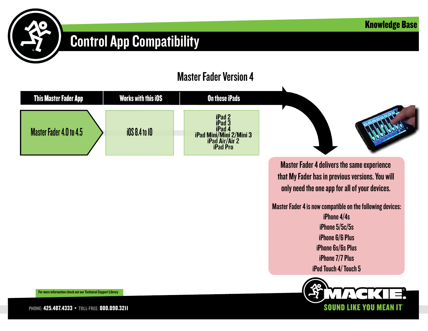**SOUN** 



### Control App Compatibility

#### Master Fader Version 4



PHONE: 425.487.4333 • TOLL-FREE: 800.898.3211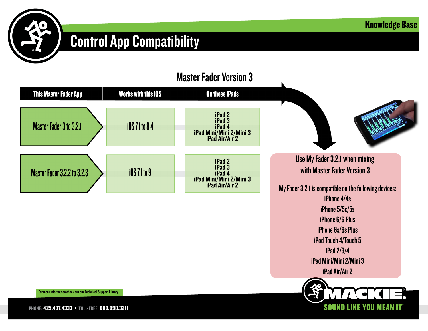

iPhone 6/6 Plus iPhone 6s/6s Plus iPod Touch 4/Touch 5 iPad 2/3/4 iPad Mini/Mini 2/Mini 3 iPad Air/Air 2

**SOUND** 

# Control App Compatibility



For more information check out our Technical Support Library

PHONE: 425.487.4333 • TOLL-FREE: 800.898.3211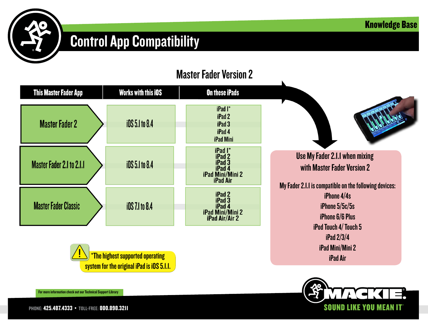

## Control App Compatibility

#### Master Fader Version 2



\*The highest supported operating system for the original iPad is iOS 5.1.1.

**SOUND** 

iPad Mini/Mini 2 iPad Air

For more information check out our Technical Support Library

PHONE: 425.487.4333 • TOLL-FREE: 800.898.3211